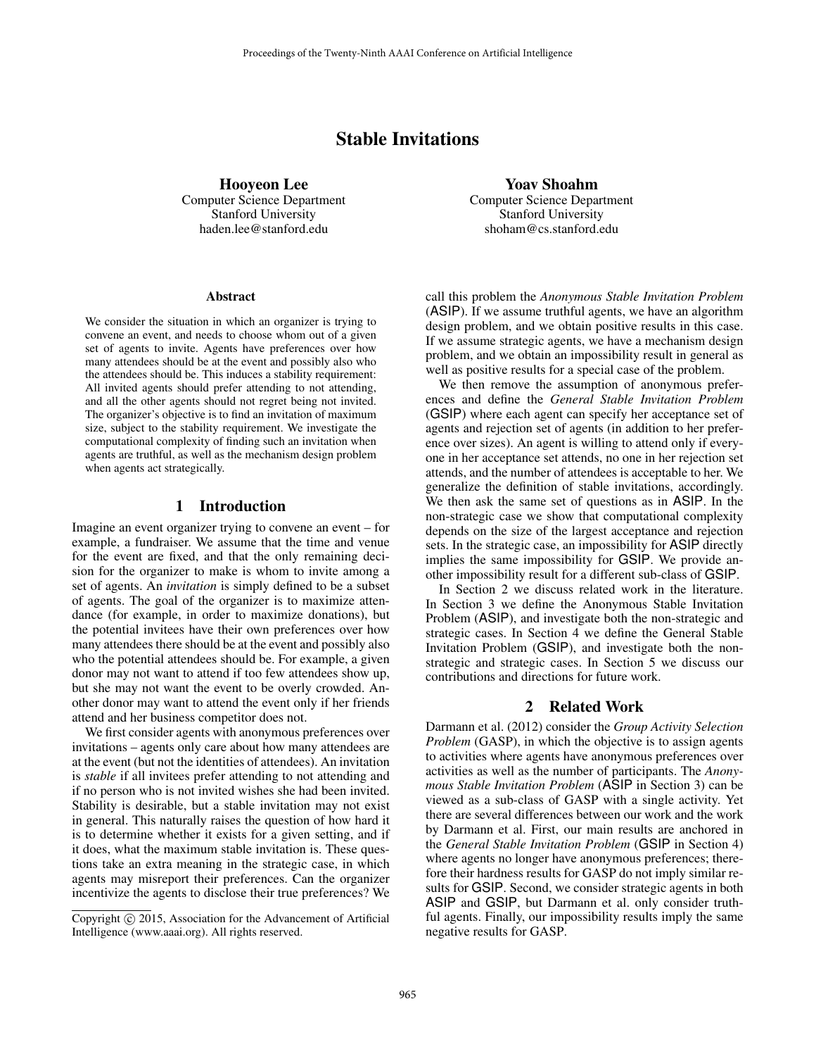# Stable Invitations

Hooyeon Lee Computer Science Department Stanford University haden.lee@stanford.edu

#### Abstract

We consider the situation in which an organizer is trying to convene an event, and needs to choose whom out of a given set of agents to invite. Agents have preferences over how many attendees should be at the event and possibly also who the attendees should be. This induces a stability requirement: All invited agents should prefer attending to not attending, and all the other agents should not regret being not invited. The organizer's objective is to find an invitation of maximum size, subject to the stability requirement. We investigate the computational complexity of finding such an invitation when agents are truthful, as well as the mechanism design problem when agents act strategically.

# 1 Introduction

Imagine an event organizer trying to convene an event – for example, a fundraiser. We assume that the time and venue for the event are fixed, and that the only remaining decision for the organizer to make is whom to invite among a set of agents. An *invitation* is simply defined to be a subset of agents. The goal of the organizer is to maximize attendance (for example, in order to maximize donations), but the potential invitees have their own preferences over how many attendees there should be at the event and possibly also who the potential attendees should be. For example, a given donor may not want to attend if too few attendees show up, but she may not want the event to be overly crowded. Another donor may want to attend the event only if her friends attend and her business competitor does not.

We first consider agents with anonymous preferences over invitations – agents only care about how many attendees are at the event (but not the identities of attendees). An invitation is *stable* if all invitees prefer attending to not attending and if no person who is not invited wishes she had been invited. Stability is desirable, but a stable invitation may not exist in general. This naturally raises the question of how hard it is to determine whether it exists for a given setting, and if it does, what the maximum stable invitation is. These questions take an extra meaning in the strategic case, in which agents may misreport their preferences. Can the organizer incentivize the agents to disclose their true preferences? We

Yoav Shoahm Computer Science Department Stanford University shoham@cs.stanford.edu

call this problem the *Anonymous Stable Invitation Problem* (ASIP). If we assume truthful agents, we have an algorithm design problem, and we obtain positive results in this case. If we assume strategic agents, we have a mechanism design problem, and we obtain an impossibility result in general as well as positive results for a special case of the problem.

We then remove the assumption of anonymous preferences and define the *General Stable Invitation Problem* (GSIP) where each agent can specify her acceptance set of agents and rejection set of agents (in addition to her preference over sizes). An agent is willing to attend only if everyone in her acceptance set attends, no one in her rejection set attends, and the number of attendees is acceptable to her. We generalize the definition of stable invitations, accordingly. We then ask the same set of questions as in ASIP. In the non-strategic case we show that computational complexity depends on the size of the largest acceptance and rejection sets. In the strategic case, an impossibility for ASIP directly implies the same impossibility for GSIP. We provide another impossibility result for a different sub-class of GSIP.

In Section 2 we discuss related work in the literature. In Section 3 we define the Anonymous Stable Invitation Problem (ASIP), and investigate both the non-strategic and strategic cases. In Section 4 we define the General Stable Invitation Problem (GSIP), and investigate both the nonstrategic and strategic cases. In Section 5 we discuss our contributions and directions for future work.

# 2 Related Work

Darmann et al. (2012) consider the *Group Activity Selection Problem* (GASP), in which the objective is to assign agents to activities where agents have anonymous preferences over activities as well as the number of participants. The *Anonymous Stable Invitation Problem* (ASIP in Section 3) can be viewed as a sub-class of GASP with a single activity. Yet there are several differences between our work and the work by Darmann et al. First, our main results are anchored in the *General Stable Invitation Problem* (GSIP in Section 4) where agents no longer have anonymous preferences; therefore their hardness results for GASP do not imply similar results for GSIP. Second, we consider strategic agents in both ASIP and GSIP, but Darmann et al. only consider truthful agents. Finally, our impossibility results imply the same negative results for GASP.

Copyright (c) 2015, Association for the Advancement of Artificial Intelligence (www.aaai.org). All rights reserved.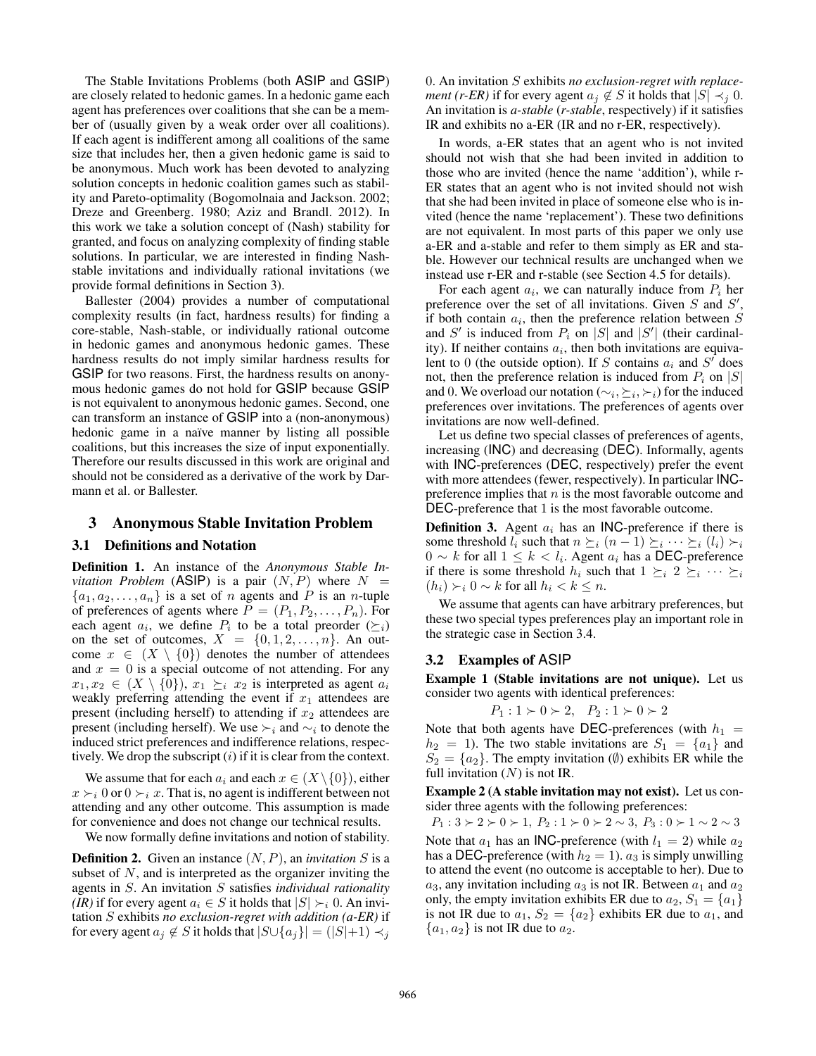The Stable Invitations Problems (both ASIP and GSIP) are closely related to hedonic games. In a hedonic game each agent has preferences over coalitions that she can be a member of (usually given by a weak order over all coalitions). If each agent is indifferent among all coalitions of the same size that includes her, then a given hedonic game is said to be anonymous. Much work has been devoted to analyzing solution concepts in hedonic coalition games such as stability and Pareto-optimality (Bogomolnaia and Jackson. 2002; Dreze and Greenberg. 1980; Aziz and Brandl. 2012). In this work we take a solution concept of (Nash) stability for granted, and focus on analyzing complexity of finding stable solutions. In particular, we are interested in finding Nashstable invitations and individually rational invitations (we provide formal definitions in Section 3).

Ballester (2004) provides a number of computational complexity results (in fact, hardness results) for finding a core-stable, Nash-stable, or individually rational outcome in hedonic games and anonymous hedonic games. These hardness results do not imply similar hardness results for GSIP for two reasons. First, the hardness results on anonymous hedonic games do not hold for GSIP because GSIP is not equivalent to anonymous hedonic games. Second, one can transform an instance of GSIP into a (non-anonymous) hedonic game in a naïve manner by listing all possible coalitions, but this increases the size of input exponentially. Therefore our results discussed in this work are original and should not be considered as a derivative of the work by Darmann et al. or Ballester.

#### 3 Anonymous Stable Invitation Problem

#### 3.1 Definitions and Notation

Definition 1. An instance of the *Anonymous Stable Invitation Problem* (ASIP) is a pair  $(N, P)$  where  $N =$  ${a_1, a_2, \ldots, a_n}$  is a set of *n* agents and *P* is an *n*-tuple of preferences of agents where  $P = (P_1, P_2, \ldots, P_n)$ . For each agent  $a_i$ , we define  $P_i$  to be a total preorder  $(\succeq_i)$ on the set of outcomes,  $X = \{0, 1, 2, \ldots, n\}$ . An outcome  $x \in (X \setminus \{0\})$  denotes the number of attendees and  $x = 0$  is a special outcome of not attending. For any  $x_1, x_2 \in (X \setminus \{0\}), x_1 \succeq_i x_2$  is interpreted as agent  $a_i$ weakly preferring attending the event if  $x_1$  attendees are present (including herself) to attending if  $x_2$  attendees are present (including herself). We use  $\succ_i$  and  $\sim_i$  to denote the induced strict preferences and indifference relations, respectively. We drop the subscript  $(i)$  if it is clear from the context.

We assume that for each  $a_i$  and each  $x \in (X \setminus \{0\})$ , either  $x \succ_i 0$  or  $0 \succ_i x$ . That is, no agent is indifferent between not attending and any other outcome. This assumption is made for convenience and does not change our technical results.

We now formally define invitations and notion of stability.

**Definition 2.** Given an instance  $(N, P)$ , an *invitation* S is a subset of  $N$ , and is interpreted as the organizer inviting the agents in S. An invitation S satisfies *individual rationality (IR)* if for every agent  $a_i \in S$  it holds that  $|S| \succ_i 0$ . An invitation S exhibits *no exclusion-regret with addition (a-ER)* if for every agent  $a_i \notin S$  it holds that  $|S \cup \{a_i\}| = (|S|+1) \prec_i$ 

0. An invitation S exhibits *no exclusion-regret with replacement (r-ER)* if for every agent  $a_j \notin S$  it holds that  $|S| \prec_i 0$ . An invitation is *a-stable* (*r-stable*, respectively) if it satisfies IR and exhibits no a-ER (IR and no r-ER, respectively).

In words, a-ER states that an agent who is not invited should not wish that she had been invited in addition to those who are invited (hence the name 'addition'), while r-ER states that an agent who is not invited should not wish that she had been invited in place of someone else who is invited (hence the name 'replacement'). These two definitions are not equivalent. In most parts of this paper we only use a-ER and a-stable and refer to them simply as ER and stable. However our technical results are unchanged when we instead use r-ER and r-stable (see Section 4.5 for details).

For each agent  $a_i$ , we can naturally induce from  $P_i$  her preference over the set of all invitations. Given  $S$  and  $S'$ , if both contain  $a_i$ , then the preference relation between S and S' is induced from  $P_i$  on |S| and |S'| (their cardinality). If neither contains  $a_i$ , then both invitations are equivalent to 0 (the outside option). If S contains  $a_i$  and  $S^f$  does not, then the preference relation is induced from  $P_i$  on  $|S|$ and 0. We overload our notation ( $\sim_i, \succeq_i, \succ_i$ ) for the induced preferences over invitations. The preferences of agents over invitations are now well-defined.

Let us define two special classes of preferences of agents, increasing (INC) and decreasing (DEC). Informally, agents with INC-preferences (DEC, respectively) prefer the event with more attendees (fewer, respectively). In particular INCpreference implies that  $n$  is the most favorable outcome and DEC-preference that 1 is the most favorable outcome.

**Definition 3.** Agent  $a_i$  has an INC-preference if there is some threshold  $l_i$  such that  $n \succeq_i (n - 1) \succeq_i \cdots \succeq_i (l_i) \succeq_i$  $0 \sim k$  for all  $1 \leq k < l_i$ . Agent  $a_i$  has a DEC-preference if there is some threshold  $h_i$  such that  $1 \succeq_i 2 \succeq_i \cdots \succeq_i$  $(h_i) \succ_i 0 \sim k$  for all  $h_i < k \leq n$ .

We assume that agents can have arbitrary preferences, but these two special types preferences play an important role in the strategic case in Section 3.4.

# 3.2 Examples of ASIP

Example 1 (Stable invitations are not unique). Let us consider two agents with identical preferences:

$$
P_1: 1 \succ 0 \succ 2, \quad P_2: 1 \succ 0 \succ 2
$$

Note that both agents have DEC-preferences (with  $h_1$  =  $h_2 = 1$ ). The two stable invitations are  $S_1 = \{a_1\}$  and  $S_2 = \{a_2\}$ . The empty invitation ( $\emptyset$ ) exhibits ER while the full invitation  $(N)$  is not IR.

Example 2 (A stable invitation may not exist). Let us consider three agents with the following preferences:

 $P_1: 3 \succ 2 \succ 0 \succ 1, P_2: 1 \succ 0 \succ 2 \sim 3, P_3: 0 \succ 1 \sim 2 \sim 3$ Note that  $a_1$  has an INC-preference (with  $l_1 = 2$ ) while  $a_2$ has a DEC-preference (with  $h_2 = 1$ ).  $a_3$  is simply unwilling to attend the event (no outcome is acceptable to her). Due to  $a_3$ , any invitation including  $a_3$  is not IR. Between  $a_1$  and  $a_2$ only, the empty invitation exhibits ER due to  $a_2$ ,  $S_1 = \{a_1\}$ is not IR due to  $a_1$ ,  $S_2 = \{a_2\}$  exhibits ER due to  $a_1$ , and  ${a_1, a_2}$  is not IR due to  $a_2$ .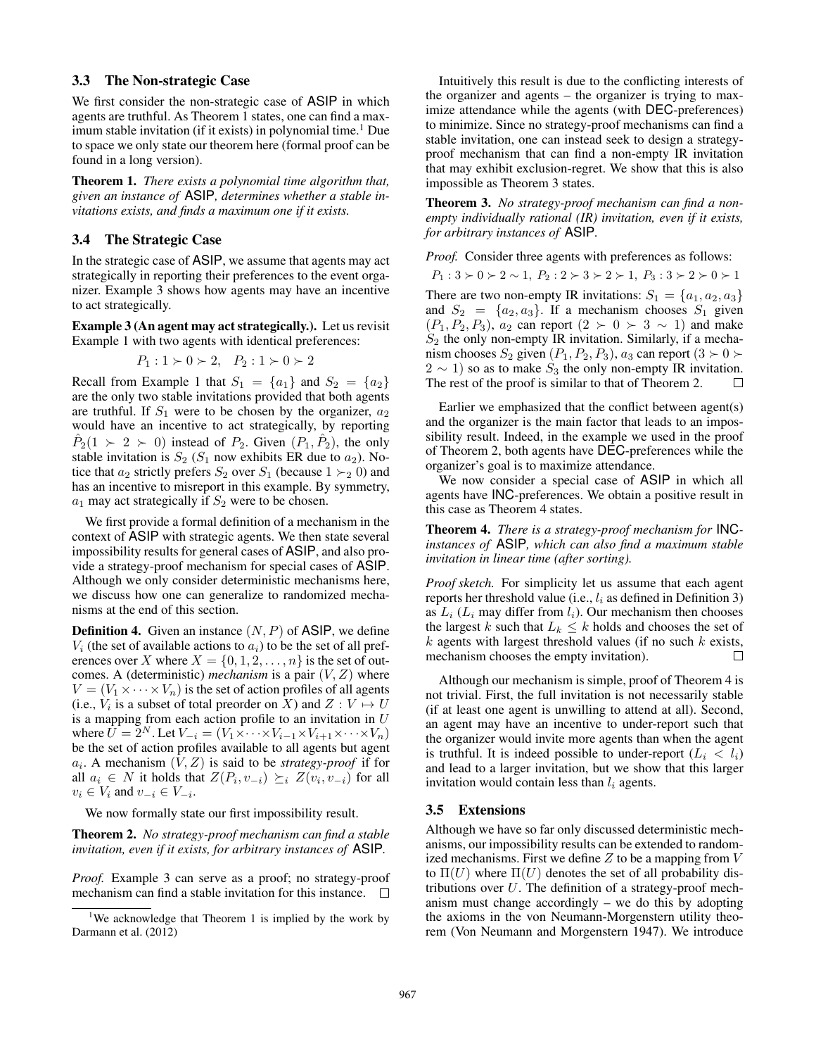### 3.3 The Non-strategic Case

We first consider the non-strategic case of ASIP in which agents are truthful. As Theorem 1 states, one can find a maximum stable invitation (if it exists) in polynomial time.<sup>1</sup> Due to space we only state our theorem here (formal proof can be found in a long version).

Theorem 1. *There exists a polynomial time algorithm that, given an instance of* ASIP*, determines whether a stable invitations exists, and finds a maximum one if it exists.*

# 3.4 The Strategic Case

In the strategic case of ASIP, we assume that agents may act strategically in reporting their preferences to the event organizer. Example 3 shows how agents may have an incentive to act strategically.

Example 3 (An agent may act strategically.). Let us revisit Example 1 with two agents with identical preferences:

$$
P_1: 1 \succ 0 \succ 2, \quad P_2: 1 \succ 0 \succ 2
$$

Recall from Example 1 that  $S_1 = \{a_1\}$  and  $S_2 = \{a_2\}$ are the only two stable invitations provided that both agents are truthful. If  $S_1$  were to be chosen by the organizer,  $a_2$ would have an incentive to act strategically, by reporting  $\hat{P}_2(1 \succ 2 \succ 0)$  instead of  $P_2$ . Given  $(P_1, \hat{P}_2)$ , the only stable invitation is  $S_2$  ( $S_1$  now exhibits ER due to  $a_2$ ). Notice that  $a_2$  strictly prefers  $S_2$  over  $S_1$  (because  $1 \succ_2 0$ ) and has an incentive to misreport in this example. By symmetry,  $a_1$  may act strategically if  $S_2$  were to be chosen.

We first provide a formal definition of a mechanism in the context of ASIP with strategic agents. We then state several impossibility results for general cases of ASIP, and also provide a strategy-proof mechanism for special cases of ASIP. Although we only consider deterministic mechanisms here, we discuss how one can generalize to randomized mechanisms at the end of this section.

**Definition 4.** Given an instance  $(N, P)$  of ASIP, we define  $V_i$  (the set of available actions to  $a_i$ ) to be the set of all preferences over X where  $X = \{0, 1, 2, \ldots, n\}$  is the set of outcomes. A (deterministic) *mechanism* is a pair  $(V, Z)$  where  $V = (V_1 \times \cdots \times V_n)$  is the set of action profiles of all agents (i.e.,  $V_i$  is a subset of total preorder on X) and  $Z: V \mapsto U$ is a mapping from each action profile to an invitation in  $U$ where  $\bar{U} = \bar{2}^N$ . Let  $V_{-i} = (V_1 \times \cdots \times V_{i-1} \times V_{i+1} \times \cdots \times V_n)$ be the set of action profiles available to all agents but agent  $a_i$ . A mechanism  $(V, Z)$  is said to be *strategy-proof* if for all  $a_i \in N$  it holds that  $Z(P_i, v_{-i}) \succeq_i Z(v_i, v_{-i})$  for all  $v_i \in V_i$  and  $v_{-i} \in V_{-i}$ .

We now formally state our first impossibility result.

Theorem 2. *No strategy-proof mechanism can find a stable invitation, even if it exists, for arbitrary instances of* ASIP*.*

*Proof.* Example 3 can serve as a proof; no strategy-proof mechanism can find a stable invitation for this instance.  $\square$ 

Intuitively this result is due to the conflicting interests of the organizer and agents – the organizer is trying to maximize attendance while the agents (with DEC-preferences) to minimize. Since no strategy-proof mechanisms can find a stable invitation, one can instead seek to design a strategyproof mechanism that can find a non-empty IR invitation that may exhibit exclusion-regret. We show that this is also impossible as Theorem 3 states.

Theorem 3. *No strategy-proof mechanism can find a nonempty individually rational (IR) invitation, even if it exists, for arbitrary instances of* ASIP*.*

*Proof.* Consider three agents with preferences as follows:

 $P_1: 3 \succ 0 \succ 2 \sim 1, P_2: 2 \succ 3 \succ 2 \succ 1, P_3: 3 \succ 2 \succ 0 \succ 1$ There are two non-empty IR invitations:  $S_1 = \{a_1, a_2, a_3\}$ and  $S_2 = \{a_2, a_3\}$ . If a mechanism chooses  $S_1$  given  $(P_1, P_2, P_3)$ ,  $a_2$  can report  $(2 \succ 0 \succ 3 \sim 1)$  and make  $S_2$  the only non-empty IR invitation. Similarly, if a mechanism chooses  $S_2$  given  $(P_1, P_2, P_3)$ ,  $a_3$  can report  $(3 \succ 0 \succ$  $2 \sim 1$ ) so as to make  $S_3$  the only non-empty IR invitation.

Earlier we emphasized that the conflict between agent(s) and the organizer is the main factor that leads to an impossibility result. Indeed, in the example we used in the proof of Theorem 2, both agents have DEC-preferences while the organizer's goal is to maximize attendance.

The rest of the proof is similar to that of Theorem 2.

We now consider a special case of ASIP in which all agents have INC-preferences. We obtain a positive result in this case as Theorem 4 states.

Theorem 4. *There is a strategy-proof mechanism for* INC*instances of* ASIP*, which can also find a maximum stable invitation in linear time (after sorting).*

*Proof sketch.* For simplicity let us assume that each agent reports her threshold value (i.e.,  $l_i$  as defined in Definition 3) as  $L_i$  ( $L_i$  may differ from  $l_i$ ). Our mechanism then chooses the largest k such that  $L_k \leq k$  holds and chooses the set of  $k$  agents with largest threshold values (if no such  $k$  exists, mechanism chooses the empty invitation).  $\Box$ 

Although our mechanism is simple, proof of Theorem 4 is not trivial. First, the full invitation is not necessarily stable (if at least one agent is unwilling to attend at all). Second, an agent may have an incentive to under-report such that the organizer would invite more agents than when the agent is truthful. It is indeed possible to under-report  $(L_i < l_i)$ and lead to a larger invitation, but we show that this larger invitation would contain less than  $l_i$  agents.

#### 3.5 Extensions

Although we have so far only discussed deterministic mechanisms, our impossibility results can be extended to randomized mechanisms. First we define  $Z$  to be a mapping from  $V$ to  $\Pi(U)$  where  $\Pi(U)$  denotes the set of all probability distributions over  $U$ . The definition of a strategy-proof mechanism must change accordingly – we do this by adopting the axioms in the von Neumann-Morgenstern utility theorem (Von Neumann and Morgenstern 1947). We introduce

<sup>&</sup>lt;sup>1</sup>We acknowledge that Theorem 1 is implied by the work by Darmann et al. (2012)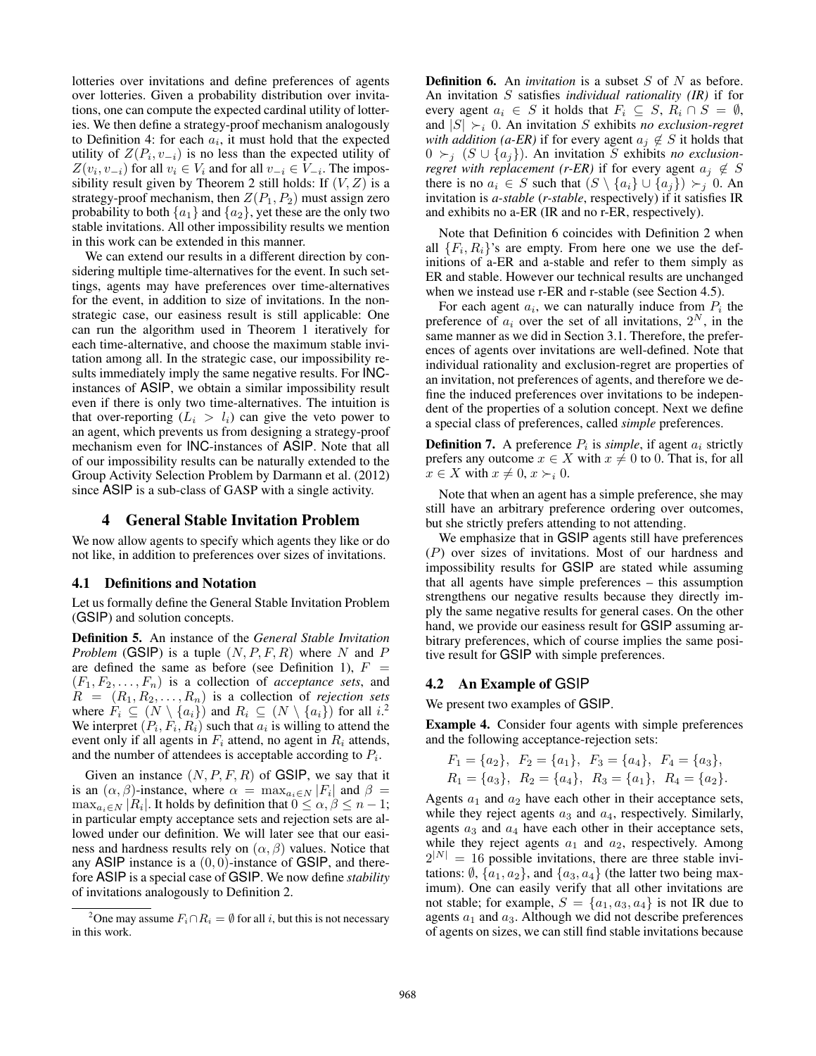lotteries over invitations and define preferences of agents over lotteries. Given a probability distribution over invitations, one can compute the expected cardinal utility of lotteries. We then define a strategy-proof mechanism analogously to Definition 4: for each  $a_i$ , it must hold that the expected utility of  $Z(P_i, v_{-i})$  is no less than the expected utility of  $Z(v_i, v_{-i})$  for all  $v_i \in V_i$  and for all  $v_{-i} \in V_{-i}$ . The impossibility result given by Theorem 2 still holds: If  $(V, Z)$  is a strategy-proof mechanism, then  $Z(P_1, P_2)$  must assign zero probability to both  $\{a_1\}$  and  $\{a_2\}$ , yet these are the only two stable invitations. All other impossibility results we mention in this work can be extended in this manner.

We can extend our results in a different direction by considering multiple time-alternatives for the event. In such settings, agents may have preferences over time-alternatives for the event, in addition to size of invitations. In the nonstrategic case, our easiness result is still applicable: One can run the algorithm used in Theorem 1 iteratively for each time-alternative, and choose the maximum stable invitation among all. In the strategic case, our impossibility results immediately imply the same negative results. For INCinstances of ASIP, we obtain a similar impossibility result even if there is only two time-alternatives. The intuition is that over-reporting  $(L_i > l_i)$  can give the veto power to an agent, which prevents us from designing a strategy-proof mechanism even for INC-instances of ASIP. Note that all of our impossibility results can be naturally extended to the Group Activity Selection Problem by Darmann et al. (2012) since ASIP is a sub-class of GASP with a single activity.

### 4 General Stable Invitation Problem

We now allow agents to specify which agents they like or do not like, in addition to preferences over sizes of invitations.

#### 4.1 Definitions and Notation

Let us formally define the General Stable Invitation Problem (GSIP) and solution concepts.

Definition 5. An instance of the *General Stable Invitation Problem* (GSIP) is a tuple  $(N, P, F, R)$  where N and P are defined the same as before (see Definition 1),  $F =$  $(F_1, F_2, \ldots, F_n)$  is a collection of *acceptance sets*, and  $R = (R_1, R_2, \ldots, R_n)$  is a collection of *rejection sets* where  $F_i \subseteq (N \setminus \{a_i\})$  and  $R_i \subseteq (N \setminus \{a_i\})$  for all  $i$ .<sup>2</sup> We interpret  $(P_i, F_i, R_i)$  such that  $a_i$  is willing to attend the event only if all agents in  $F_i$  attend, no agent in  $R_i$  attends, and the number of attendees is acceptable according to  $P_i$ .

Given an instance  $(N, P, F, R)$  of GSIP, we say that it is an  $(\alpha, \beta)$ -instance, where  $\alpha = \max_{a_i \in N} |F_i|$  and  $\beta =$  $\max_{a_i \in N} |R_i|$ . It holds by definition that  $0 \le \alpha, \beta \le n - 1$ ; in particular empty acceptance sets and rejection sets are allowed under our definition. We will later see that our easiness and hardness results rely on  $(\alpha, \beta)$  values. Notice that any ASIP instance is a  $(0, 0)$ -instance of GSIP, and therefore ASIP is a special case of GSIP. We now define *stability* of invitations analogously to Definition 2.

**Definition 6.** An *invitation* is a subset S of N as before. An invitation S satisfies *individual rationality (IR)* if for every agent  $a_i \in S$  it holds that  $F_i \subseteq S$ ,  $R_i \cap S = \emptyset$ , and  $|S| \succ_i 0$ . An invitation S exhibits *no exclusion-regret with addition (a-ER)* if for every agent  $a_i \notin S$  it holds that  $0$  ≻<sub>j</sub> (S ∪ {a<sub>j</sub>}). An invitation S exhibits *no exclusionregret with replacement (r-ER)* if for every agent  $a_j \notin S$ there is no  $a_i \in S$  such that  $(S \setminus \{a_i\} \cup \{a_j\}) \succ_i 0$ . An invitation is *a-stable* (*r-stable*, respectively) if it satisfies IR and exhibits no a-ER (IR and no r-ER, respectively).

Note that Definition 6 coincides with Definition 2 when all  $\{F_i, R_i\}$ 's are empty. From here one we use the definitions of a-ER and a-stable and refer to them simply as ER and stable. However our technical results are unchanged when we instead use r-ER and r-stable (see Section 4.5).

For each agent  $a_i$ , we can naturally induce from  $P_i$  the preference of  $a_i$  over the set of all invitations,  $2^N$ , in the same manner as we did in Section 3.1. Therefore, the preferences of agents over invitations are well-defined. Note that individual rationality and exclusion-regret are properties of an invitation, not preferences of agents, and therefore we define the induced preferences over invitations to be independent of the properties of a solution concept. Next we define a special class of preferences, called *simple* preferences.

**Definition 7.** A preference  $P_i$  is *simple*, if agent  $a_i$  strictly prefers any outcome  $x \in X$  with  $x \neq 0$  to 0. That is, for all  $x \in X$  with  $x \neq 0, x \succ_i 0$ .

Note that when an agent has a simple preference, she may still have an arbitrary preference ordering over outcomes, but she strictly prefers attending to not attending.

We emphasize that in GSIP agents still have preferences (P) over sizes of invitations. Most of our hardness and impossibility results for GSIP are stated while assuming that all agents have simple preferences – this assumption strengthens our negative results because they directly imply the same negative results for general cases. On the other hand, we provide our easiness result for GSIP assuming arbitrary preferences, which of course implies the same positive result for GSIP with simple preferences.

### 4.2 An Example of GSIP

We present two examples of GSIP.

Example 4. Consider four agents with simple preferences and the following acceptance-rejection sets:

$$
F_1 = \{a_2\}, F_2 = \{a_1\}, F_3 = \{a_4\}, F_4 = \{a_3\},
$$
  
\n $R_1 = \{a_3\}, R_2 = \{a_4\}, R_3 = \{a_1\}, R_4 = \{a_2\}.$ 

Agents  $a_1$  and  $a_2$  have each other in their acceptance sets, while they reject agents  $a_3$  and  $a_4$ , respectively. Similarly, agents  $a_3$  and  $a_4$  have each other in their acceptance sets, while they reject agents  $a_1$  and  $a_2$ , respectively. Among  $2^{|N|} = 16$  possible invitations, there are three stable invitations:  $\emptyset$ ,  $\{a_1, a_2\}$ , and  $\{a_3, a_4\}$  (the latter two being maximum). One can easily verify that all other invitations are not stable; for example,  $S = \{a_1, a_3, a_4\}$  is not IR due to agents  $a_1$  and  $a_3$ . Although we did not describe preferences of agents on sizes, we can still find stable invitations because

<sup>&</sup>lt;sup>2</sup>One may assume  $F_i \cap R_i = \emptyset$  for all i, but this is not necessary in this work.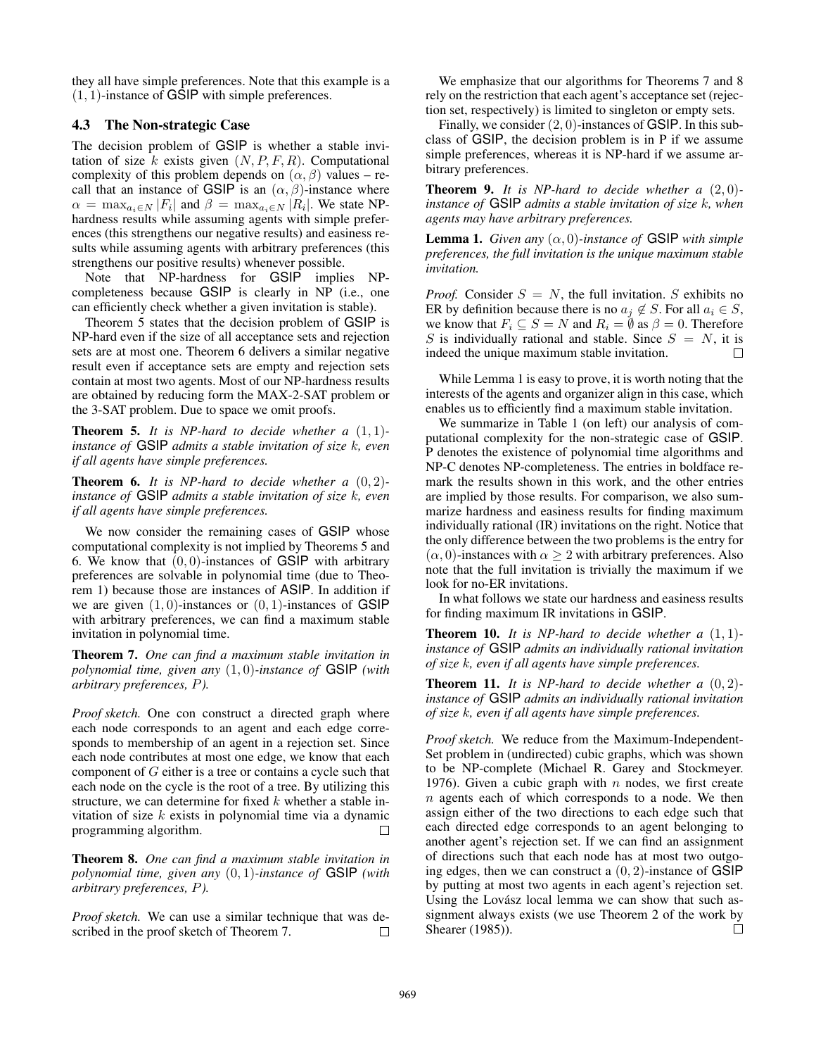they all have simple preferences. Note that this example is a  $(1, 1)$ -instance of GSIP with simple preferences.

### 4.3 The Non-strategic Case

The decision problem of GSIP is whether a stable invitation of size k exists given  $(N, P, F, R)$ . Computational complexity of this problem depends on  $(\alpha, \beta)$  values – recall that an instance of GSIP is an  $(\alpha, \beta)$ -instance where  $\alpha = \max_{a_i \in N} |F_i|$  and  $\beta = \max_{a_i \in N} |R_i|$ . We state NPhardness results while assuming agents with simple preferences (this strengthens our negative results) and easiness results while assuming agents with arbitrary preferences (this strengthens our positive results) whenever possible.

Note that NP-hardness for GSIP implies NPcompleteness because GSIP is clearly in NP (i.e., one can efficiently check whether a given invitation is stable).

Theorem 5 states that the decision problem of GSIP is NP-hard even if the size of all acceptance sets and rejection sets are at most one. Theorem 6 delivers a similar negative result even if acceptance sets are empty and rejection sets contain at most two agents. Most of our NP-hardness results are obtained by reducing form the MAX-2-SAT problem or the 3-SAT problem. Due to space we omit proofs.

Theorem 5. *It is NP-hard to decide whether a* (1, 1) *instance of* GSIP *admits a stable invitation of size* k*, even if all agents have simple preferences.*

Theorem 6. *It is NP-hard to decide whether a* (0, 2) *instance of* GSIP *admits a stable invitation of size* k*, even if all agents have simple preferences.*

We now consider the remaining cases of GSIP whose computational complexity is not implied by Theorems 5 and 6. We know that  $(0, 0)$ -instances of GSIP with arbitrary preferences are solvable in polynomial time (due to Theorem 1) because those are instances of ASIP. In addition if we are given  $(1, 0)$ -instances or  $(0, 1)$ -instances of GSIP with arbitrary preferences, we can find a maximum stable invitation in polynomial time.

Theorem 7. *One can find a maximum stable invitation in polynomial time, given any* (1, 0)*-instance of* GSIP *(with arbitrary preferences,* P*).*

*Proof sketch.* One con construct a directed graph where each node corresponds to an agent and each edge corresponds to membership of an agent in a rejection set. Since each node contributes at most one edge, we know that each component of  $G$  either is a tree or contains a cycle such that each node on the cycle is the root of a tree. By utilizing this structure, we can determine for fixed  $k$  whether a stable invitation of size  $k$  exists in polynomial time via a dynamic programming algorithm.

Theorem 8. *One can find a maximum stable invitation in polynomial time, given any* (0, 1)*-instance of* GSIP *(with arbitrary preferences,* P*).*

*Proof sketch.* We can use a similar technique that was described in the proof sketch of Theorem 7.  $\Box$ 

We emphasize that our algorithms for Theorems 7 and 8 rely on the restriction that each agent's acceptance set (rejection set, respectively) is limited to singleton or empty sets.

Finally, we consider  $(2, 0)$ -instances of GSIP. In this subclass of GSIP, the decision problem is in P if we assume simple preferences, whereas it is NP-hard if we assume arbitrary preferences.

Theorem 9. *It is NP-hard to decide whether a* (2, 0) *instance of* GSIP *admits a stable invitation of size* k*, when agents may have arbitrary preferences.*

**Lemma 1.** *Given any*  $(\alpha, 0)$ *-instance of* GSIP *with simple preferences, the full invitation is the unique maximum stable invitation.*

*Proof.* Consider  $S = N$ , the full invitation. S exhibits no ER by definition because there is no  $a_i \notin S$ . For all  $a_i \in S$ , we know that  $F_i \subseteq S = N$  and  $R_i = \emptyset$  as  $\beta = 0$ . Therefore S is individually rational and stable. Since  $S = N$ , it is indeed the unique maximum stable invitation.

While Lemma 1 is easy to prove, it is worth noting that the interests of the agents and organizer align in this case, which enables us to efficiently find a maximum stable invitation.

We summarize in Table 1 (on left) our analysis of computational complexity for the non-strategic case of GSIP. P denotes the existence of polynomial time algorithms and NP-C denotes NP-completeness. The entries in boldface remark the results shown in this work, and the other entries are implied by those results. For comparison, we also summarize hardness and easiness results for finding maximum individually rational (IR) invitations on the right. Notice that the only difference between the two problems is the entry for  $(\alpha, 0)$ -instances with  $\alpha \geq 2$  with arbitrary preferences. Also note that the full invitation is trivially the maximum if we look for no-ER invitations.

In what follows we state our hardness and easiness results for finding maximum IR invitations in GSIP.

Theorem 10. *It is NP-hard to decide whether a* (1, 1) *instance of* GSIP *admits an individually rational invitation of size* k*, even if all agents have simple preferences.*

Theorem 11. *It is NP-hard to decide whether a* (0, 2) *instance of* GSIP *admits an individually rational invitation of size* k*, even if all agents have simple preferences.*

*Proof sketch.* We reduce from the Maximum-Independent-Set problem in (undirected) cubic graphs, which was shown to be NP-complete (Michael R. Garey and Stockmeyer. 1976). Given a cubic graph with  $n$  nodes, we first create  $n$  agents each of which corresponds to a node. We then assign either of the two directions to each edge such that each directed edge corresponds to an agent belonging to another agent's rejection set. If we can find an assignment of directions such that each node has at most two outgoing edges, then we can construct a  $(0, 2)$ -instance of GSIP by putting at most two agents in each agent's rejection set. Using the Lovász local lemma we can show that such assignment always exists (we use Theorem 2 of the work by Shearer (1985)).  $\Box$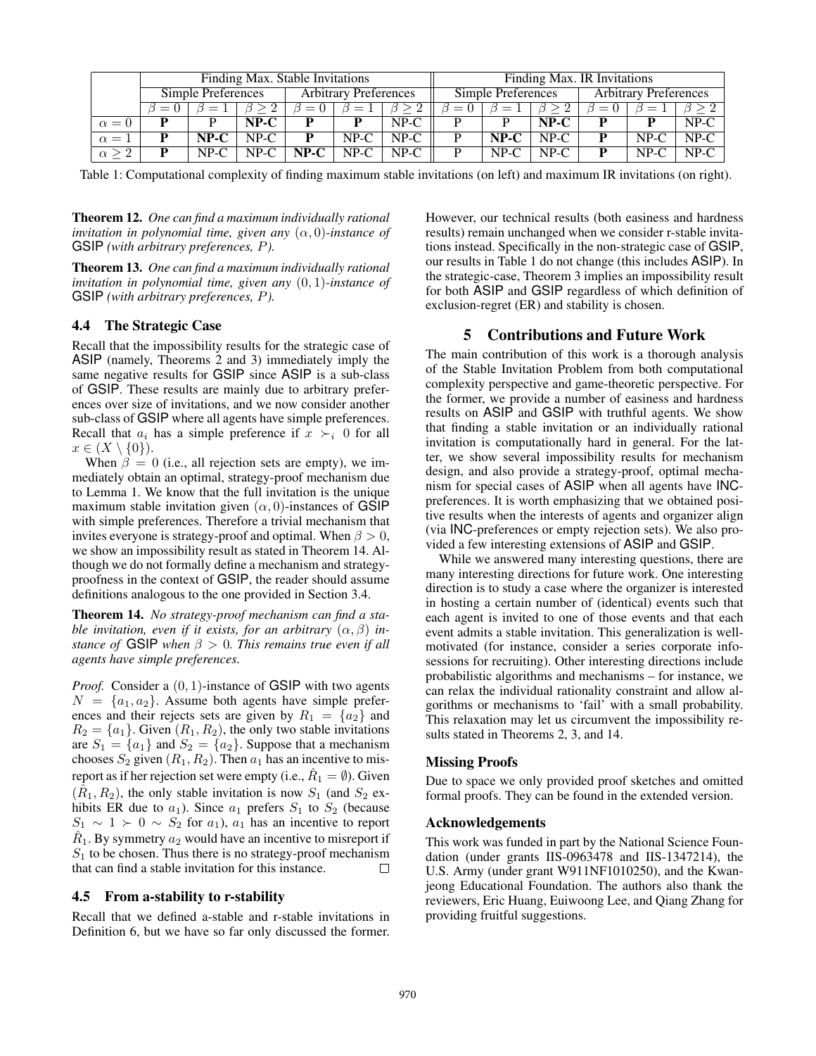|                 | Finding Max. Stable Invitations |        |        |                              |        |        | Finding Max. IR Invitations |        |        |                              |        |        |
|-----------------|---------------------------------|--------|--------|------------------------------|--------|--------|-----------------------------|--------|--------|------------------------------|--------|--------|
|                 | Simple Preferences              |        |        | <b>Arbitrary Preferences</b> |        |        | Simple Preferences          |        |        | <b>Arbitrary Preferences</b> |        |        |
|                 |                                 |        |        | $= 0$                        |        |        |                             |        |        | $\beta =$                    |        |        |
| $\alpha = 0$    |                                 |        | NP-C   |                              |        | $NP-C$ |                             |        | $NP-C$ |                              |        | $NP-C$ |
| $\alpha =$      |                                 | $NP-C$ | $NP-C$ |                              | $NP-C$ | $NP-C$ |                             | NP-C   | $NP-C$ |                              | $NP-C$ | $NP-C$ |
| $\alpha \geq 2$ |                                 | $NP-C$ | $NP-C$ | $NP-C$                       | $NP-C$ | $NP-C$ |                             | $NP-C$ | $NP-C$ |                              | $NP-C$ | $NP-C$ |

Table 1: Computational complexity of finding maximum stable invitations (on left) and maximum IR invitations (on right).

Theorem 12. *One can find a maximum individually rational invitation in polynomial time, given any*  $(\alpha, 0)$ *-instance of* GSIP *(with arbitrary preferences,* P*).*

Theorem 13. *One can find a maximum individually rational invitation in polynomial time, given any* (0, 1)*-instance of* GSIP *(with arbitrary preferences,* P*).*

# 4.4 The Strategic Case

Recall that the impossibility results for the strategic case of ASIP (namely, Theorems 2 and 3) immediately imply the same negative results for GSIP since ASIP is a sub-class of GSIP. These results are mainly due to arbitrary preferences over size of invitations, and we now consider another sub-class of GSIP where all agents have simple preferences. Recall that  $a_i$  has a simple preference if  $x \succ_i 0$  for all  $x \in (X \setminus \{0\}).$ 

When  $\beta = 0$  (i.e., all rejection sets are empty), we immediately obtain an optimal, strategy-proof mechanism due to Lemma 1. We know that the full invitation is the unique maximum stable invitation given  $(\alpha, 0)$ -instances of GSIP with simple preferences. Therefore a trivial mechanism that invites everyone is strategy-proof and optimal. When  $\beta > 0$ , we show an impossibility result as stated in Theorem 14. Although we do not formally define a mechanism and strategyproofness in the context of GSIP, the reader should assume definitions analogous to the one provided in Section 3.4.

Theorem 14. *No strategy-proof mechanism can find a stable invitation, even if it exists, for an arbitrary*  $(\alpha, \beta)$  *instance of* GSIP *when* β > 0*. This remains true even if all agents have simple preferences.*

*Proof.* Consider a  $(0, 1)$ -instance of GSIP with two agents  $N = \{a_1, a_2\}$ . Assume both agents have simple preferences and their rejects sets are given by  $R_1 = \{a_2\}$  and  $R_2 = \{a_1\}$ . Given  $(R_1, R_2)$ , the only two stable invitations are  $S_1 = \{a_1\}$  and  $S_2 = \{a_2\}$ . Suppose that a mechanism chooses  $S_2$  given  $(R_1, R_2)$ . Then  $a_1$  has an incentive to misreport as if her rejection set were empty (i.e.,  $\hat{R}_1 = \emptyset$ ). Given  $(\hat{R}_1, R_2)$ , the only stable invitation is now  $S_1$  (and  $S_2$  exhibits ER due to  $a_1$ ). Since  $a_1$  prefers  $S_1$  to  $S_2$  (because  $S_1 \sim 1 \succ 0 \sim S_2$  for  $a_1$ ),  $a_1$  has an incentive to report  $\hat{R}_1$ . By symmetry  $a_2$  would have an incentive to misreport if  $S_1$  to be chosen. Thus there is no strategy-proof mechanism that can find a stable invitation for this instance.  $\Box$ 

### 4.5 From a-stability to r-stability

Recall that we defined a-stable and r-stable invitations in Definition 6, but we have so far only discussed the former.

However, our technical results (both easiness and hardness results) remain unchanged when we consider r-stable invitations instead. Specifically in the non-strategic case of GSIP, our results in Table 1 do not change (this includes ASIP). In the strategic-case, Theorem 3 implies an impossibility result for both ASIP and GSIP regardless of which definition of exclusion-regret (ER) and stability is chosen.

# 5 Contributions and Future Work

The main contribution of this work is a thorough analysis of the Stable Invitation Problem from both computational complexity perspective and game-theoretic perspective. For the former, we provide a number of easiness and hardness results on ASIP and GSIP with truthful agents. We show that finding a stable invitation or an individually rational invitation is computationally hard in general. For the latter, we show several impossibility results for mechanism design, and also provide a strategy-proof, optimal mechanism for special cases of ASIP when all agents have INCpreferences. It is worth emphasizing that we obtained positive results when the interests of agents and organizer align (via INC-preferences or empty rejection sets). We also provided a few interesting extensions of ASIP and GSIP.

While we answered many interesting questions, there are many interesting directions for future work. One interesting direction is to study a case where the organizer is interested in hosting a certain number of (identical) events such that each agent is invited to one of those events and that each event admits a stable invitation. This generalization is wellmotivated (for instance, consider a series corporate infosessions for recruiting). Other interesting directions include probabilistic algorithms and mechanisms – for instance, we can relax the individual rationality constraint and allow algorithms or mechanisms to 'fail' with a small probability. This relaxation may let us circumvent the impossibility results stated in Theorems 2, 3, and 14.

### Missing Proofs

Due to space we only provided proof sketches and omitted formal proofs. They can be found in the extended version.

#### Acknowledgements

This work was funded in part by the National Science Foundation (under grants IIS-0963478 and IIS-1347214), the U.S. Army (under grant W911NF1010250), and the Kwanjeong Educational Foundation. The authors also thank the reviewers, Eric Huang, Euiwoong Lee, and Qiang Zhang for providing fruitful suggestions.